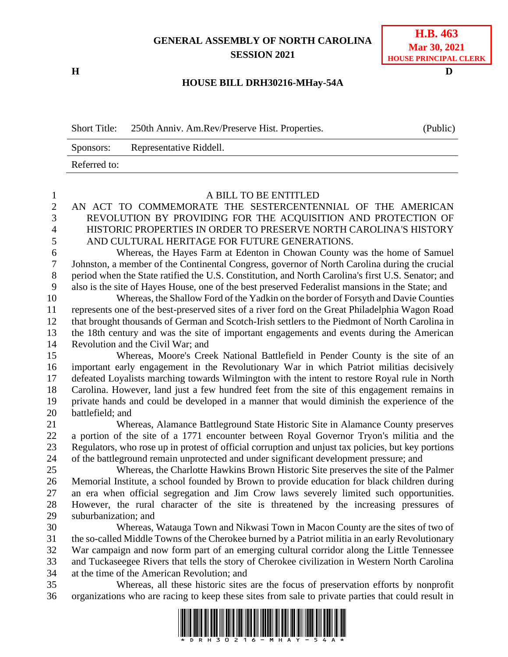## **GENERAL ASSEMBLY OF NORTH CAROLINA SESSION 2021**

**H D**

## **H.B. 463 Mar 30, 2021 HOUSE PRINCIPAL CLERK**

## **HOUSE BILL DRH30216-MHay-54A**

| <b>Short Title:</b> | 250th Anniv. Am.Rev/Preserve Hist. Properties. | (Public) |
|---------------------|------------------------------------------------|----------|
| Sponsors:           | Representative Riddell.                        |          |
| Referred to:        |                                                |          |

| 1              | A BILL TO BE ENTITLED                                                                                                 |  |  |  |
|----------------|-----------------------------------------------------------------------------------------------------------------------|--|--|--|
| $\overline{2}$ | AN ACT TO COMMEMORATE THE SESTERCENTENNIAL OF THE AMERICAN                                                            |  |  |  |
| $\overline{3}$ | REVOLUTION BY PROVIDING FOR THE ACQUISITION AND PROTECTION OF                                                         |  |  |  |
| $\overline{4}$ | HISTORIC PROPERTIES IN ORDER TO PRESERVE NORTH CAROLINA'S HISTORY                                                     |  |  |  |
| 5              | AND CULTURAL HERITAGE FOR FUTURE GENERATIONS.                                                                         |  |  |  |
| 6              | Whereas, the Hayes Farm at Edenton in Chowan County was the home of Samuel                                            |  |  |  |
| $\tau$         | Johnston, a member of the Continental Congress, governor of North Carolina during the crucial                         |  |  |  |
| $8\,$          | period when the State ratified the U.S. Constitution, and North Carolina's first U.S. Senator; and                    |  |  |  |
| 9              | also is the site of Hayes House, one of the best preserved Federalist mansions in the State; and                      |  |  |  |
| 10             | Whereas, the Shallow Ford of the Yadkin on the border of Forsyth and Davie Counties                                   |  |  |  |
| 11             | represents one of the best-preserved sites of a river ford on the Great Philadelphia Wagon Road                       |  |  |  |
| 12             | that brought thousands of German and Scotch-Irish settlers to the Piedmont of North Carolina in                       |  |  |  |
| 13             | the 18th century and was the site of important engagements and events during the American                             |  |  |  |
| 14             | Revolution and the Civil War; and                                                                                     |  |  |  |
| 15             | Whereas, Moore's Creek National Battlefield in Pender County is the site of an                                        |  |  |  |
| 16             | important early engagement in the Revolutionary War in which Patriot militias decisively                              |  |  |  |
| 17             | defeated Loyalists marching towards Wilmington with the intent to restore Royal rule in North                         |  |  |  |
| 18             | Carolina. However, land just a few hundred feet from the site of this engagement remains in                           |  |  |  |
| 19             | private hands and could be developed in a manner that would diminish the experience of the                            |  |  |  |
| 20             | battlefield; and                                                                                                      |  |  |  |
| 21             | Whereas, Alamance Battleground State Historic Site in Alamance County preserves                                       |  |  |  |
| 22             | a portion of the site of a 1771 encounter between Royal Governor Tryon's militia and the                              |  |  |  |
| 23             | Regulators, who rose up in protest of official corruption and unjust tax policies, but key portions                   |  |  |  |
| 24             | of the battleground remain unprotected and under significant development pressure; and                                |  |  |  |
| 25             | Whereas, the Charlotte Hawkins Brown Historic Site preserves the site of the Palmer                                   |  |  |  |
| 26             | Memorial Institute, a school founded by Brown to provide education for black children during                          |  |  |  |
| 27             | an era when official segregation and Jim Crow laws severely limited such opportunities.                               |  |  |  |
| 28             | However, the rural character of the site is threatened by the increasing pressures of                                 |  |  |  |
| 29             | suburbanization; and                                                                                                  |  |  |  |
| 30             | Whereas, Watauga Town and Nikwasi Town in Macon County are the sites of two of                                        |  |  |  |
| 31             | the so-called Middle Towns of the Cherokee burned by a Patriot militia in an early Revolutionary                      |  |  |  |
| 32             | War campaign and now form part of an emerging cultural corridor along the Little Tennessee                            |  |  |  |
| 33             | and Tuckaseegee Rivers that tells the story of Cherokee civilization in Western North Carolina                        |  |  |  |
| 34             | at the time of the American Revolution; and                                                                           |  |  |  |
| 35             | Whereas, all these historic sites are the focus of preservation efforts by nonprofit                                  |  |  |  |
| 36             | organizations who are racing to keep these sites from sale to private parties that could result in                    |  |  |  |
|                | <u> 1 1001110 100110 1011 0100 11111 00110 11011 11010 0111 11000011 1011 01011 100 10111 110001 01111 010011 101</u> |  |  |  |